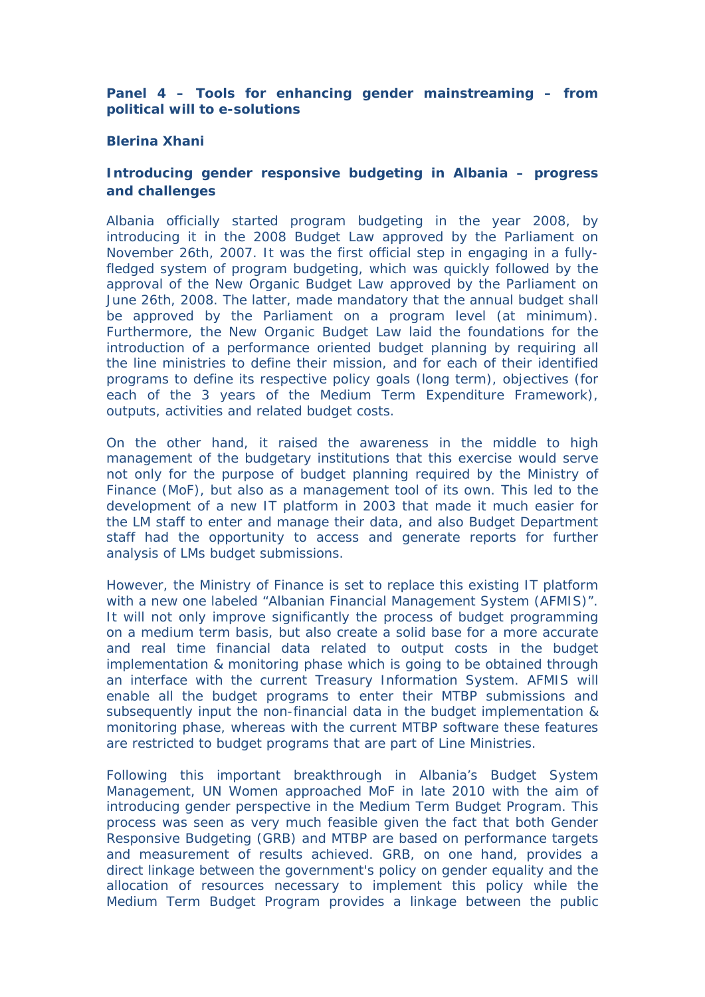**Panel 4 – Tools for enhancing gender mainstreaming – from political will to e-solutions**

## **Blerina Xhani**

**Introducing gender responsive budgeting in Albania – progress and challenges**

Albania officially started program budgeting in the year 2008, by introducing it in the 2008 Budget Law approved by the Parliament on November 26th, 2007. It was the first official step in engaging in a fullyfledged system of program budgeting, which was quickly followed by the approval of the New Organic Budget Law approved by the Parliament on June 26th, 2008. The latter, made mandatory that the annual budget shall be approved by the Parliament on a program level (at minimum). Furthermore, the New Organic Budget Law laid the foundations for the introduction of a performance oriented budget planning by requiring all the line ministries to define their mission, and for each of their identified programs to define its respective policy goals (long term), objectives (for each of the 3 years of the Medium Term Expenditure Framework), outputs, activities and related budget costs.

On the other hand, it raised the awareness in the middle to high management of the budgetary institutions that this exercise would serve not only for the purpose of budget planning required by the Ministry of Finance (MoF), but also as a management tool of its own. This led to the development of a new IT platform in 2003 that made it much easier for the LM staff to enter and manage their data, and also Budget Department staff had the opportunity to access and generate reports for further analysis of LMs budget submissions.

However, the Ministry of Finance is set to replace this existing IT platform with a new one labeled "Albanian Financial Management System (AFMIS)". It will not only improve significantly the process of budget programming on a medium term basis, but also create a solid base for a more accurate and real time financial data related to output costs in the budget implementation & monitoring phase which is going to be obtained through an interface with the current Treasury Information System. AFMIS will enable all the budget programs to enter their MTBP submissions and subsequently input the non-financial data in the budget implementation & monitoring phase, whereas with the current MTBP software these features are restricted to budget programs that are part of Line Ministries.

Following this important breakthrough in Albania's Budget System Management, UN Women approached MoF in late 2010 with the aim of introducing gender perspective in the Medium Term Budget Program. This process was seen as very much feasible given the fact that both Gender Responsive Budgeting (GRB) and MTBP are based on performance targets and measurement of results achieved. GRB, on one hand, provides a direct linkage between the government's policy on gender equality and the allocation of resources necessary to implement this policy while the Medium Term Budget Program provides a linkage between the public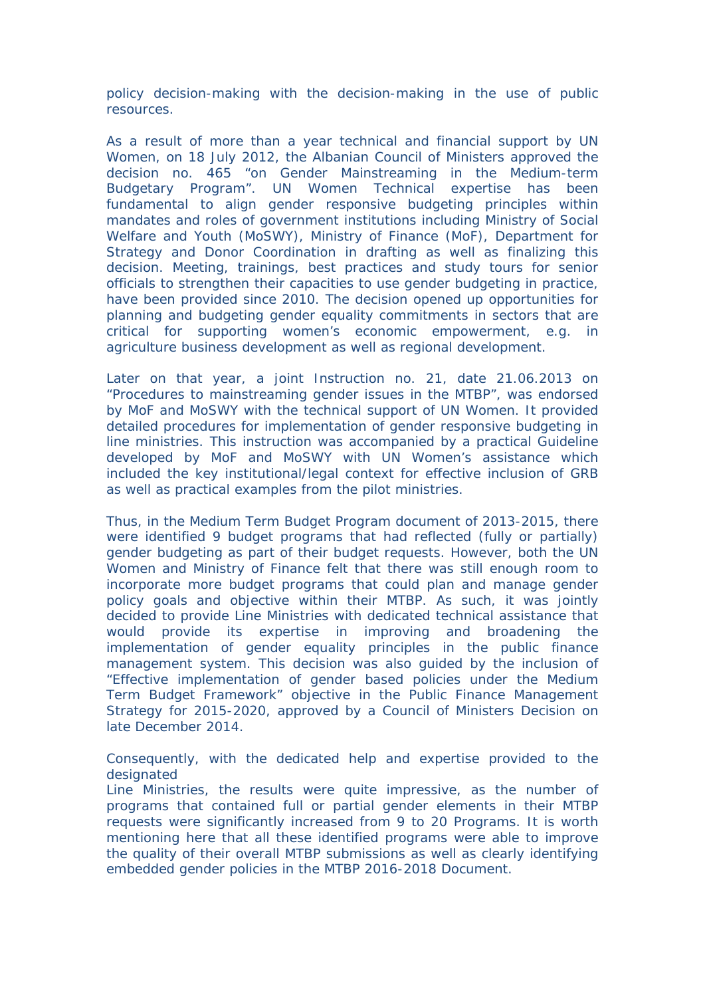policy decision-making with the decision-making in the use of public resources.

As a result of more than a year technical and financial support by UN Women, on 18 July 2012, the Albanian Council of Ministers approved the decision no. 465 "on Gender Mainstreaming in the Medium-term Budgetary Program". UN Women Technical expertise has been fundamental to align gender responsive budgeting principles within mandates and roles of government institutions including Ministry of Social Welfare and Youth (MoSWY), Ministry of Finance (MoF), Department for Strategy and Donor Coordination in drafting as well as finalizing this decision. Meeting, trainings, best practices and study tours for senior officials to strengthen their capacities to use gender budgeting in practice, have been provided since 2010. The decision opened up opportunities for planning and budgeting gender equality commitments in sectors that are critical for supporting women's economic empowerment, e.g. in agriculture business development as well as regional development.

Later on that year, a joint Instruction no. 21, date 21.06.2013 on "Procedures to mainstreaming gender issues in the MTBP", was endorsed by MoF and MoSWY with the technical support of UN Women. It provided detailed procedures for implementation of gender responsive budgeting in line ministries. This instruction was accompanied by a practical Guideline developed by MoF and MoSWY with UN Women's assistance which included the key institutional/legal context for effective inclusion of GRB as well as practical examples from the pilot ministries.

Thus, in the Medium Term Budget Program document of 2013-2015, there were identified 9 budget programs that had reflected (fully or partially) gender budgeting as part of their budget requests. However, both the UN Women and Ministry of Finance felt that there was still enough room to incorporate more budget programs that could plan and manage gender policy goals and objective within their MTBP. As such, it was jointly decided to provide Line Ministries with dedicated technical assistance that would provide its expertise in improving and broadening the implementation of gender equality principles in the public finance management system. This decision was also guided by the inclusion of "Effective implementation of gender based policies under the Medium Term Budget Framework" objective in the Public Finance Management Strategy for 2015-2020, approved by a Council of Ministers Decision on late December 2014.

Consequently, with the dedicated help and expertise provided to the designated

Line Ministries, the results were quite impressive, as the number of programs that contained full or partial gender elements in their MTBP requests were significantly increased from 9 to 20 Programs. It is worth mentioning here that all these identified programs were able to improve the quality of their overall MTBP submissions as well as clearly identifying embedded gender policies in the MTBP 2016-2018 Document.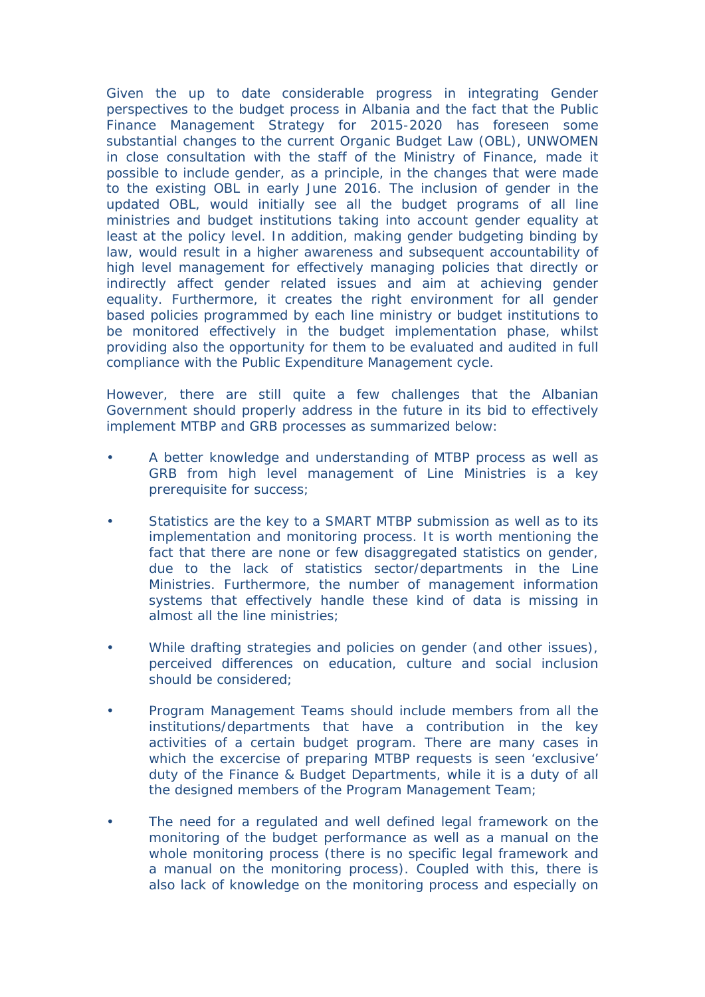Given the up to date considerable progress in integrating Gender perspectives to the budget process in Albania and the fact that the Public Finance Management Strategy for 2015-2020 has foreseen some substantial changes to the current Organic Budget Law (OBL), UNWOMEN in close consultation with the staff of the Ministry of Finance, made it possible to include gender, as a principle, in the changes that were made to the existing OBL in early June 2016. The inclusion of gender in the updated OBL, would initially see all the budget programs of all line ministries and budget institutions taking into account gender equality at least at the policy level. In addition, making gender budgeting binding by law, would result in a higher awareness and subsequent accountability of high level management for effectively managing policies that directly or indirectly affect gender related issues and aim at achieving gender equality. Furthermore, it creates the right environment for all gender based policies programmed by each line ministry or budget institutions to be monitored effectively in the budget implementation phase, whilst providing also the opportunity for them to be evaluated and audited in full compliance with the Public Expenditure Management cycle.

However, there are still quite a few challenges that the Albanian Government should properly address in the future in its bid to effectively implement MTBP and GRB processes as summarized below:

- A better knowledge and understanding of MTBP process as well as GRB from high level management of Line Ministries is a key prerequisite for success;
- Statistics are the key to a SMART MTBP submission as well as to its implementation and monitoring process. It is worth mentioning the fact that there are none or few disaggregated statistics on gender, due to the lack of statistics sector/departments in the Line Ministries. Furthermore, the number of management information systems that effectively handle these kind of data is missing in almost all the line ministries;
- While drafting strategies and policies on gender (and other issues), perceived differences on education, culture and social inclusion should be considered;
- Program Management Teams should include members from all the institutions/departments that have a contribution in the key activities of a certain budget program. There are many cases in which the excercise of preparing MTBP requests is seen 'exclusive' duty of the Finance & Budget Departments, while it is a duty of all the designed members of the Program Management Team;
- The need for a regulated and well defined legal framework on the monitoring of the budget performance as well as a manual on the whole monitoring process (there is no specific legal framework and a manual on the monitoring process). Coupled with this, there is also lack of knowledge on the monitoring process and especially on